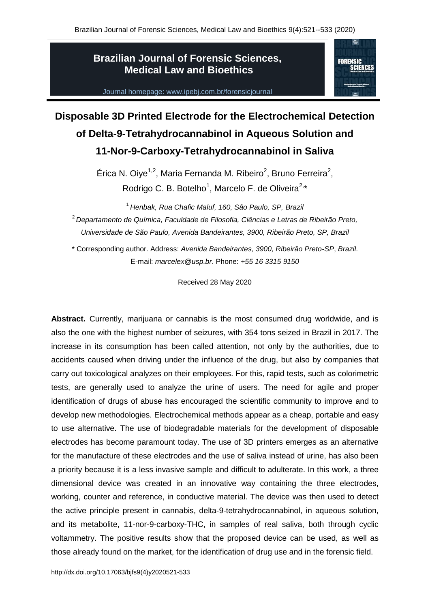# **Brazilian Journal of Forensic Sciences, Medical Law and Bioethics**



Journal homepage: www.ipebj.com.br/forensicjournal

# **Disposable 3D Printed Electrode for the Electrochemical Detection of Delta-9-Tetrahydrocannabinol in Aqueous Solution and 11-Nor-9-Carboxy-Tetrahydrocannabinol in Saliva**

Érica N. Oiye<sup>1,2</sup>, Maria Fernanda M. Ribeiro<sup>2</sup>, Bruno Ferreira<sup>2</sup>, Rodrigo C. B. Botelho<sup>1</sup>, Marcelo F. de Oliveira<sup>2,\*</sup>

<sup>1</sup> *Henbak, Rua Chafic Maluf, 160, São Paulo, SP, Brazil* <sup>2</sup> *Departamento de Química, Faculdade de Filosofia, Ciências e Letras de Ribeirão Preto, Universidade de São Paulo, Avenida Bandeirantes, 3900, Ribeirão Preto, SP, Brazil*

\* Corresponding author. Address: *Avenida Bandeirantes, 3900, Ribeirão Preto-SP*, *Brazil*. E-mail: *marcelex@usp.br*. Phone: *+55 16 3315 9150*

Received 28 May 2020

**Abstract.** Currently, marijuana or cannabis is the most consumed drug worldwide, and is also the one with the highest number of seizures, with 354 tons seized in Brazil in 2017. The increase in its consumption has been called attention, not only by the authorities, due to accidents caused when driving under the influence of the drug, but also by companies that carry out toxicological analyzes on their employees. For this, rapid tests, such as colorimetric tests, are generally used to analyze the urine of users. The need for agile and proper identification of drugs of abuse has encouraged the scientific community to improve and to develop new methodologies. Electrochemical methods appear as a cheap, portable and easy to use alternative. The use of biodegradable materials for the development of disposable electrodes has become paramount today. The use of 3D printers emerges as an alternative for the manufacture of these electrodes and the use of saliva instead of urine, has also been a priority because it is a less invasive sample and difficult to adulterate. In this work, a three dimensional device was created in an innovative way containing the three electrodes, working, counter and reference, in conductive material. The device was then used to detect the active principle present in cannabis, delta-9-tetrahydrocannabinol, in aqueous solution, and its metabolite, 11-nor-9-carboxy-THC, in samples of real saliva, both through cyclic voltammetry. The positive results show that the proposed device can be used, as well as those already found on the market, for the identification of drug use and in the forensic field.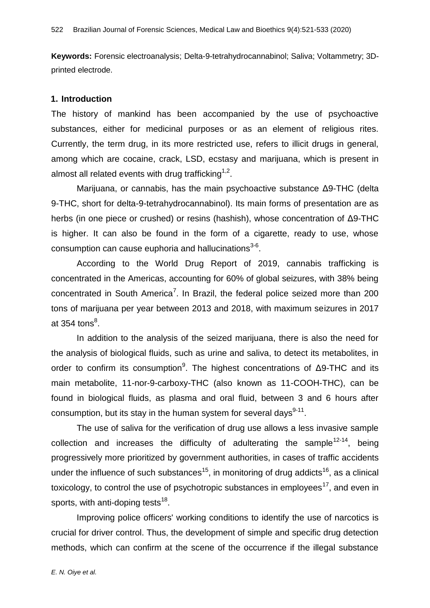**Keywords:** Forensic electroanalysis; Delta-9-tetrahydrocannabinol; Saliva; Voltammetry; 3Dprinted electrode.

#### **1. Introduction**

The history of mankind has been accompanied by the use of psychoactive substances, either for medicinal purposes or as an element of religious rites. Currently, the term drug, in its more restricted use, refers to illicit drugs in general, among which are cocaine, crack, LSD, ecstasy and marijuana, which is present in almost all related events with drug trafficking $^{1,2}.$ 

Marijuana, or cannabis, has the main psychoactive substance Δ9-THC (delta 9-THC, short for delta-9-tetrahydrocannabinol). Its main forms of presentation are as herbs (in one piece or crushed) or resins (hashish), whose concentration of Δ9-THC is higher. It can also be found in the form of a cigarette, ready to use, whose consumption can cause euphoria and hallucinations $^{3\text{-}6}$ .

According to the World Drug Report of 2019, cannabis trafficking is concentrated in the Americas, accounting for 60% of global seizures, with 38% being concentrated in South America<sup>7</sup>. In Brazil, the federal police seized more than 200 tons of marijuana per year between 2013 and 2018, with maximum seizures in 2017 at 354 tons $^8$ .

In addition to the analysis of the seized marijuana, there is also the need for the analysis of biological fluids, such as urine and saliva, to detect its metabolites, in order to confirm its consumption<sup>9</sup>. The highest concentrations of  $\Delta$ 9-THC and its main metabolite, 11-nor-9-carboxy-THC (also known as 11-COOH-THC), can be found in biological fluids, as plasma and oral fluid, between 3 and 6 hours after consumption, but its stay in the human system for several days $^{9\text{-}11}$ .

The use of saliva for the verification of drug use allows a less invasive sample collection and increases the difficulty of adulterating the sample<sup>12-14</sup>, being progressively more prioritized by government authorities, in cases of traffic accidents under the influence of such substances<sup>15</sup>, in monitoring of drug addicts<sup>16</sup>, as a clinical toxicology, to control the use of psychotropic substances in employees<sup>17</sup>, and even in sports, with anti-doping tests $^{18}$ .

Improving police officers' working conditions to identify the use of narcotics is crucial for driver control. Thus, the development of simple and specific drug detection methods, which can confirm at the scene of the occurrence if the illegal substance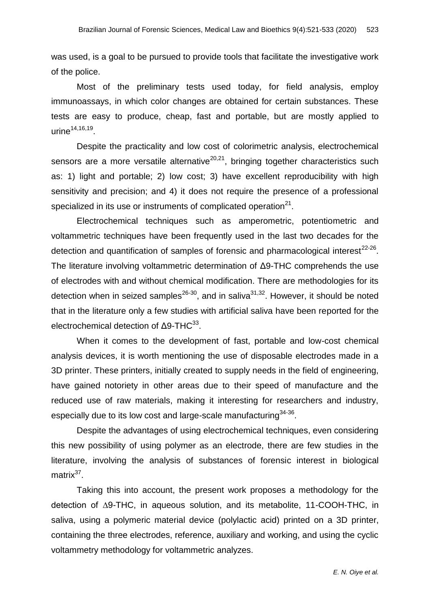was used, is a goal to be pursued to provide tools that facilitate the investigative work of the police.

Most of the preliminary tests used today, for field analysis, employ immunoassays, in which color changes are obtained for certain substances. These tests are easy to produce, cheap, fast and portable, but are mostly applied to urine $^{14,16,19}.$ 

Despite the practicality and low cost of colorimetric analysis, electrochemical sensors are a more versatile alternative $20,21$ , bringing together characteristics such as: 1) light and portable; 2) low cost; 3) have excellent reproducibility with high sensitivity and precision; and 4) it does not require the presence of a professional specialized in its use or instruments of complicated operation $^{21}$ .

Electrochemical techniques such as amperometric, potentiometric and voltammetric techniques have been frequently used in the last two decades for the detection and quantification of samples of forensic and pharmacological interest $^{22-26}$ . The literature involving voltammetric determination of Δ9-THC comprehends the use of electrodes with and without chemical modification. There are methodologies for its detection when in seized samples<sup>26-30</sup>, and in saliva<sup>31,32</sup>. However, it should be noted that in the literature only a few studies with artificial saliva have been reported for the electrochemical detection of  $\Delta$ 9-THC $^{33}$ .

When it comes to the development of fast, portable and low-cost chemical analysis devices, it is worth mentioning the use of disposable electrodes made in a 3D printer. These printers, initially created to supply needs in the field of engineering, have gained notoriety in other areas due to their speed of manufacture and the reduced use of raw materials, making it interesting for researchers and industry, especially due to its low cost and large-scale manufacturing $^{34\cdot 36}$ .

Despite the advantages of using electrochemical techniques, even considering this new possibility of using polymer as an electrode, there are few studies in the literature, involving the analysis of substances of forensic interest in biological matrix<sup>37</sup>.

Taking this into account, the present work proposes a methodology for the detection of ∆9-THC, in aqueous solution, and its metabolite, 11-COOH-THC, in saliva, using a polymeric material device (polylactic acid) printed on a 3D printer, containing the three electrodes, reference, auxiliary and working, and using the cyclic voltammetry methodology for voltammetric analyzes.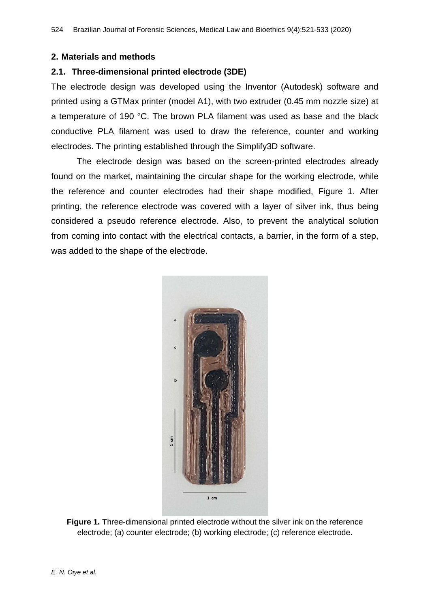#### **2. Materials and methods**

## **2.1. Three-dimensional printed electrode (3DE)**

The electrode design was developed using the Inventor (Autodesk) software and printed using a GTMax printer (model A1), with two extruder (0.45 mm nozzle size) at a temperature of 190 °C. The brown PLA filament was used as base and the black conductive PLA filament was used to draw the reference, counter and working electrodes. The printing established through the Simplify3D software.

The electrode design was based on the screen-printed electrodes already found on the market, maintaining the circular shape for the working electrode, while the reference and counter electrodes had their shape modified, Figure 1. After printing, the reference electrode was covered with a layer of silver ink, thus being considered a pseudo reference electrode. Also, to prevent the analytical solution from coming into contact with the electrical contacts, a barrier, in the form of a step, was added to the shape of the electrode.



**Figure 1.** Three-dimensional printed electrode without the silver ink on the reference electrode; (a) counter electrode; (b) working electrode; (c) reference electrode.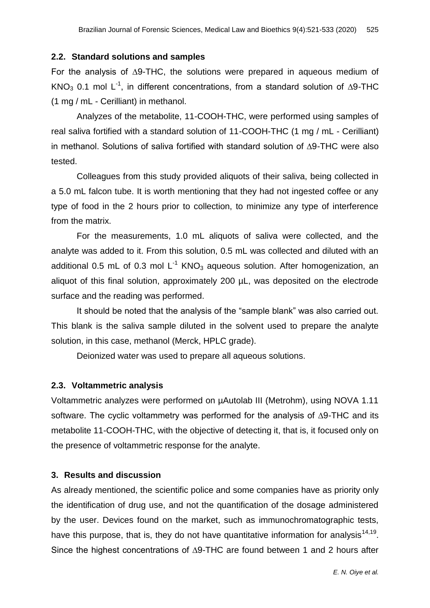#### **2.2. Standard solutions and samples**

For the analysis of ∆9-THC, the solutions were prepared in aqueous medium of KNO<sub>3</sub> 0.1 mol L<sup>-1</sup>, in different concentrations, from a standard solution of ∆9-THC (1 mg / mL - Cerilliant) in methanol.

Analyzes of the metabolite, 11-COOH-THC, were performed using samples of real saliva fortified with a standard solution of 11-COOH-THC (1 mg / mL - Cerilliant) in methanol. Solutions of saliva fortified with standard solution of ∆9-THC were also tested.

Colleagues from this study provided aliquots of their saliva, being collected in a 5.0 mL falcon tube. It is worth mentioning that they had not ingested coffee or any type of food in the 2 hours prior to collection, to minimize any type of interference from the matrix.

For the measurements, 1.0 mL aliquots of saliva were collected, and the analyte was added to it. From this solution, 0.5 mL was collected and diluted with an additional 0.5 mL of 0.3 mol  $L^{-1}$  KNO<sub>3</sub> aqueous solution. After homogenization, an aliquot of this final solution, approximately 200 µL, was deposited on the electrode surface and the reading was performed.

It should be noted that the analysis of the "sample blank" was also carried out. This blank is the saliva sample diluted in the solvent used to prepare the analyte solution, in this case, methanol (Merck, HPLC grade).

Deionized water was used to prepare all aqueous solutions.

## **2.3. Voltammetric analysis**

Voltammetric analyzes were performed on µAutolab III (Metrohm), using NOVA 1.11 software. The cyclic voltammetry was performed for the analysis of ∆9-THC and its metabolite 11-COOH-THC, with the objective of detecting it, that is, it focused only on the presence of voltammetric response for the analyte.

## **3. Results and discussion**

As already mentioned, the scientific police and some companies have as priority only the identification of drug use, and not the quantification of the dosage administered by the user. Devices found on the market, such as immunochromatographic tests, have this purpose, that is, they do not have quantitative information for analysis $^{14,19}$ . Since the highest concentrations of ∆9-THC are found between 1 and 2 hours after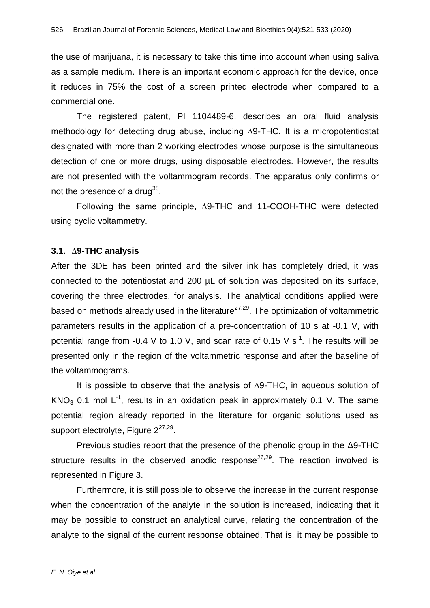the use of marijuana, it is necessary to take this time into account when using saliva as a sample medium. There is an important economic approach for the device, once it reduces in 75% the cost of a screen printed electrode when compared to a commercial one.

The registered patent, PI 1104489-6, describes an oral fluid analysis methodology for detecting drug abuse, including ∆9-THC. It is a micropotentiostat designated with more than 2 working electrodes whose purpose is the simultaneous detection of one or more drugs, using disposable electrodes. However, the results are not presented with the voltammogram records. The apparatus only confirms or not the presence of a drug $^{38}$ .

Following the same principle, ∆9-THC and 11-COOH-THC were detected using cyclic voltammetry.

#### **3.1. ∆9-THC analysis**

After the 3DE has been printed and the silver ink has completely dried, it was connected to the potentiostat and 200 µL of solution was deposited on its surface, covering the three electrodes, for analysis. The analytical conditions applied were based on methods already used in the literature<sup> $27,29$ </sup>. The optimization of voltammetric parameters results in the application of a pre-concentration of 10 s at -0.1 V, with potential range from -0.4 V to 1.0 V, and scan rate of 0.15 V s<sup>-1</sup>. The results will be presented only in the region of the voltammetric response and after the baseline of the voltammograms.

It is possible to observe that the analysis of ∆9-THC, in aqueous solution of KNO<sub>3</sub> 0.1 mol L<sup>-1</sup>, results in an oxidation peak in approximately 0.1 V. The same potential region already reported in the literature for organic solutions used as support electrolyte, Figure 2<sup>27,29</sup>.

Previous studies report that the presence of the phenolic group in the Δ9-THC structure results in the observed anodic response<sup>26,29</sup>. The reaction involved is represented in Figure 3.

Furthermore, it is still possible to observe the increase in the current response when the concentration of the analyte in the solution is increased, indicating that it may be possible to construct an analytical curve, relating the concentration of the analyte to the signal of the current response obtained. That is, it may be possible to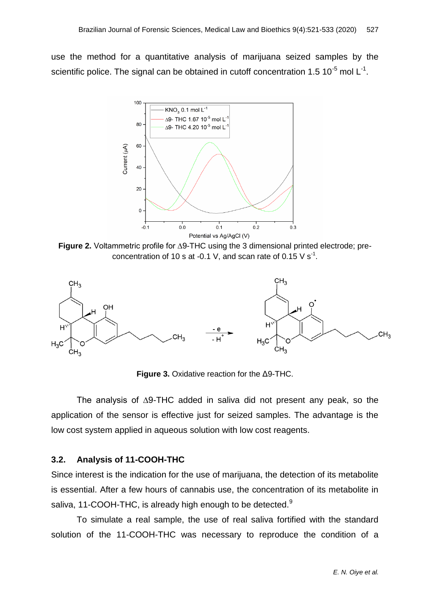use the method for a quantitative analysis of marijuana seized samples by the scientific police. The signal can be obtained in cutoff concentration 1.5 10<sup>-5</sup> mol L<sup>-1</sup>.



**Figure 2.** Voltammetric profile for ∆9-THC using the 3 dimensional printed electrode; preconcentration of 10 s at -0.1 V, and scan rate of 0.15 V s<sup>-1</sup>.



**Figure 3.** Oxidative reaction for the Δ9-THC.

The analysis of ∆9-THC added in saliva did not present any peak, so the application of the sensor is effective just for seized samples. The advantage is the low cost system applied in aqueous solution with low cost reagents.

#### **3.2. Analysis of 11-COOH-THC**

Since interest is the indication for the use of marijuana, the detection of its metabolite is essential. After a few hours of cannabis use, the concentration of its metabolite in saliva, 11-COOH-THC, is already high enough to be detected.<sup>9</sup>

To simulate a real sample, the use of real saliva fortified with the standard solution of the 11-COOH-THC was necessary to reproduce the condition of a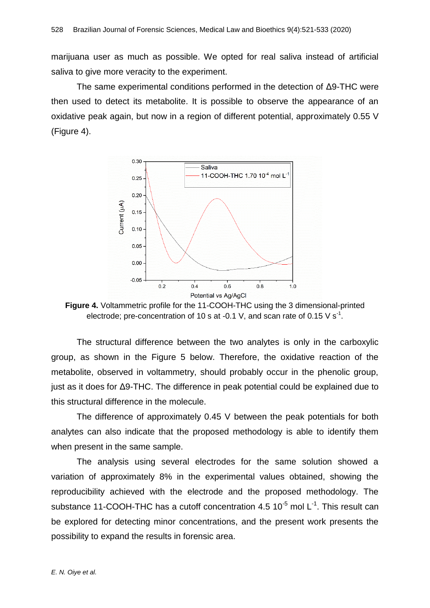marijuana user as much as possible. We opted for real saliva instead of artificial saliva to give more veracity to the experiment.

The same experimental conditions performed in the detection of Δ9-THC were then used to detect its metabolite. It is possible to observe the appearance of an oxidative peak again, but now in a region of different potential, approximately 0.55 V (Figure 4).



**Figure 4.** Voltammetric profile for the 11-COOH-THC using the 3 dimensional-printed electrode; pre-concentration of 10 s at -0.1 V, and scan rate of 0.15 V s<sup>-1</sup>.

The structural difference between the two analytes is only in the carboxylic group, as shown in the Figure 5 below. Therefore, the oxidative reaction of the metabolite, observed in voltammetry, should probably occur in the phenolic group, just as it does for Δ9-THC. The difference in peak potential could be explained due to this structural difference in the molecule.

The difference of approximately 0.45 V between the peak potentials for both analytes can also indicate that the proposed methodology is able to identify them when present in the same sample.

The analysis using several electrodes for the same solution showed a variation of approximately 8% in the experimental values obtained, showing the reproducibility achieved with the electrode and the proposed methodology. The substance 11-COOH-THC has a cutoff concentration 4.5  $10^{-5}$  mol L<sup>-1</sup>. This result can be explored for detecting minor concentrations, and the present work presents the possibility to expand the results in forensic area.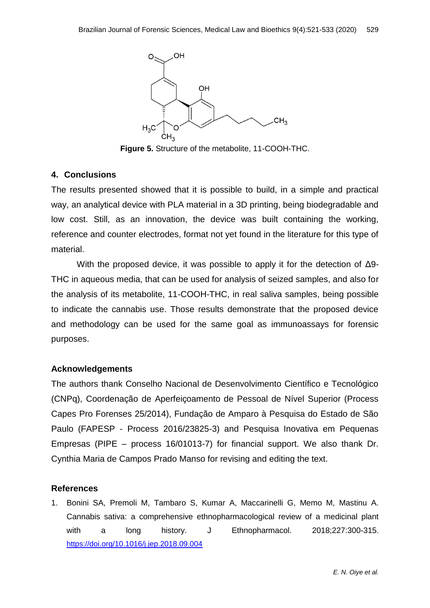

**Figure 5.** Structure of the metabolite, 11-COOH-THC.

# **4. Conclusions**

The results presented showed that it is possible to build, in a simple and practical way, an analytical device with PLA material in a 3D printing, being biodegradable and low cost. Still, as an innovation, the device was built containing the working, reference and counter electrodes, format not yet found in the literature for this type of material.

With the proposed device, it was possible to apply it for the detection of Δ9- THC in aqueous media, that can be used for analysis of seized samples, and also for the analysis of its metabolite, 11-COOH-THC, in real saliva samples, being possible to indicate the cannabis use. Those results demonstrate that the proposed device and methodology can be used for the same goal as immunoassays for forensic purposes.

# **Acknowledgements**

The authors thank Conselho Nacional de Desenvolvimento Científico e Tecnológico (CNPq), Coordenação de Aperfeiçoamento de Pessoal de Nível Superior (Process Capes Pro Forenses 25/2014), Fundação de Amparo à Pesquisa do Estado de São Paulo (FAPESP - Process 2016/23825-3) and Pesquisa Inovativa em Pequenas Empresas (PIPE – process 16/01013-7) for financial support. We also thank Dr. Cynthia Maria de Campos Prado Manso for revising and editing the text.

# **References**

1. Bonini SA, Premoli M, Tambaro S, Kumar A, Maccarinelli G, Memo M, Mastinu A. Cannabis sativa: a comprehensive ethnopharmacological review of a medicinal plant with a long history. J Ethnopharmacol. 2018;227:300-315. <https://doi.org/10.1016/j.jep.2018.09.004>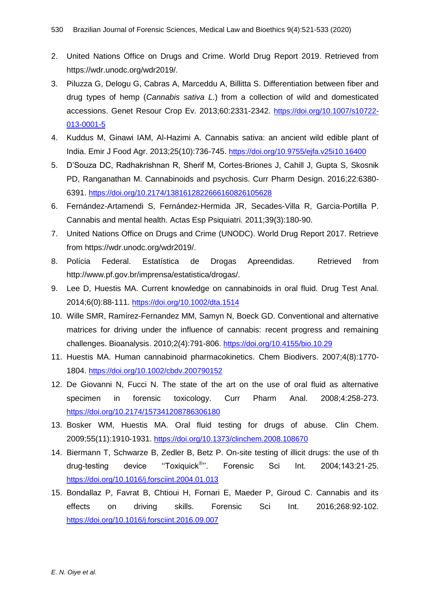- 2. United Nations Office on Drugs and Crime. World Drug Report 2019. Retrieved from https://wdr.unodc.org/wdr2019/.
- 3. Piluzza G, Delogu G, Cabras A, Marceddu A, Billitta S. Differentiation between fiber and drug types of hemp (*Cannabis sativa L*.) from a collection of wild and domesticated accessions. Genet Resour Crop Ev. 2013;60:2331-2342. [https://doi.org/10.1007/s10722-](https://doi.org/10.1007/s10722-013-0001-5) [013-0001-5](https://doi.org/10.1007/s10722-013-0001-5)
- 4. Kuddus M, Ginawi IAM, Al-Hazimi A. Cannabis sativa: an ancient wild edible plant of India. Emir J Food Agr. 2013;25(10):736-745. <https://doi.org/10.9755/ejfa.v25i10.16400>
- 5. D"Souza DC, Radhakrishnan R, Sherif M, Cortes-Briones J, Cahill J, Gupta S, Skosnik PD, Ranganathan M. Cannabinoids and psychosis. Curr Pharm Design. 2016;22:6380- 6391. <https://doi.org/10.2174/1381612822666160826105628>
- 6. Fernández-Artamendi S, Fernández-Hermida JR, Secades-Villa R, Garcia-Portilla P. Cannabis and mental health. Actas Esp Psiquiatri. 2011;39(3):180-90.
- 7. United Nations Office on Drugs and Crime (UNODC). World Drug Report 2017. Retrieve from https://wdr.unodc.org/wdr2019/.
- 8. Polícia Federal. Estatística de Drogas Apreendidas. Retrieved from http://www.pf.gov.br/imprensa/estatistica/drogas/.
- 9. Lee D, Huestis MA. Current knowledge on cannabinoids in oral fluid. Drug Test Anal. 2014;6(0):88-111. <https://doi.org/10.1002/dta.1514>
- 10. Wille SMR, Ramírez-Fernandez MM, Samyn N, Boeck GD. Conventional and alternative matrices for driving under the influence of cannabis: recent progress and remaining challenges. Bioanalysis. 2010;2(4):791-806. <https://doi.org/10.4155/bio.10.29>
- 11. Huestis MA. Human cannabinoid pharmacokinetics. Chem Biodivers. 2007;4(8):1770- 1804. <https://doi.org/10.1002/cbdv.200790152>
- 12. De Giovanni N, Fucci N. The state of the art on the use of oral fluid as alternative specimen in forensic toxicology. Curr Pharm Anal. 2008;4:258-273. <https://doi.org/10.2174/157341208786306180>
- 13. Bosker WM, Huestis MA. Oral fluid testing for drugs of abuse. Clin Chem. 2009;55(11):1910-1931. <https://doi.org/10.1373/clinchem.2008.108670>
- 14. Biermann T, Schwarze B, Zedler B, Betz P. On-site testing of illicit drugs: the use of th drug-testing device "Toxiquick<sup>®</sup>". Forensic Sci Int. 2004;143:21-25. <https://doi.org/10.1016/j.forsciint.2004.01.013>
- 15. Bondallaz P, Favrat B, Chtioui H, Fornari E, Maeder P, Giroud C. Cannabis and its effects on driving skills. Forensic Sci Int. 2016;268:92-102. <https://doi.org/10.1016/j.forsciint.2016.09.007>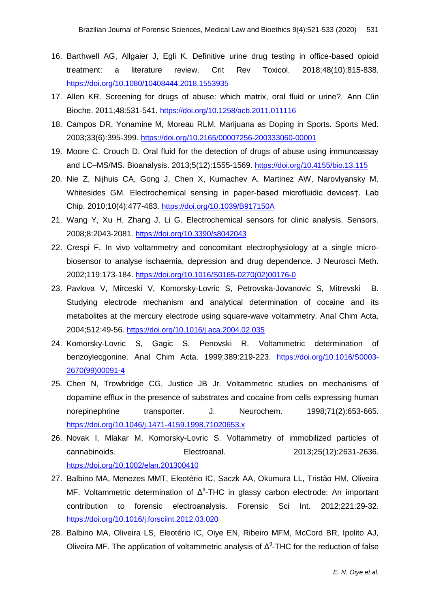- 16. Barthwell AG, Allgaier J, Egli K. Definitive urine drug testing in office-based opioid treatment: a literature review. Crit Rev Toxicol. 2018;48(10):815-838. <https://doi.org/10.1080/10408444.2018.1553935>
- 17. Allen KR. Screening for drugs of abuse: which matrix, oral fluid or urine?. Ann Clin Bioche. 2011;48:531-541. <https://doi.org/10.1258/acb.2011.011116>
- 18. Campos DR, Yonamine M, Moreau RLM. Marijuana as Doping in Sports. Sports Med. 2003;33(6):395-399. <https://doi.org/10.2165/00007256-200333060-00001>
- 19. Moore C, Crouch D. Oral fluid for the detection of drugs of abuse using immunoassay and LC–MS/MS. Bioanalysis. 2013;5(12):1555-1569. <https://doi.org/10.4155/bio.13.115>
- 20. Nie Z, Nijhuis CA, Gong J, Chen X, Kumachev A, Martinez AW, Narovlyansky M, Whitesides GM. Electrochemical sensing in paper-based microfluidic devices†. Lab Chip. 2010;10(4):477-483. <https://doi.org/10.1039/B917150A>
- 21. Wang Y, Xu H, Zhang J, Li G. Electrochemical sensors for clinic analysis. Sensors. 2008;8:2043-2081. <https://doi.org/10.3390/s8042043>
- 22. Crespi F. In vivo voltammetry and concomitant electrophysiology at a single microbiosensor to analyse ischaemia, depression and drug dependence. J Neurosci Meth. 2002;119:173-184. [https://doi.org/10.1016/S0165-0270\(02\)00176-0](https://doi.org/10.1016/S0165-0270(02)00176-0)
- 23. Pavlova V, Mirceski V, Komorsky-Lovric S, Petrovska-Jovanovic S, Mitrevski B. Studying electrode mechanism and analytical determination of cocaine and its metabolites at the mercury electrode using square-wave voltammetry. Anal Chim Acta. 2004;512:49-56. <https://doi.org/10.1016/j.aca.2004.02.035>
- 24. Komorsky-Lovric S, Gagic S, Penovski R. Voltammetric determination of benzoylecgonine. Anal Chim Acta. 1999;389:219-223. [https://doi.org/10.1016/S0003-](https://doi.org/10.1016/S0003-2670(99)00091-4) [2670\(99\)00091-4](https://doi.org/10.1016/S0003-2670(99)00091-4)
- 25. Chen N, Trowbridge CG, Justice JB Jr. Voltammetric studies on mechanisms of dopamine efflux in the presence of substrates and cocaine from cells expressing human norepinephrine transporter. J. Neurochem. 1998;71(2):653-665. <https://doi.org/10.1046/j.1471-4159.1998.71020653.x>
- 26. Novak I, Mlakar M, Komorsky-Lovric S. Voltammetry of immobilized particles of cannabinoids. Electroanal. 2013;25(12):2631-2636. <https://doi.org/10.1002/elan.201300410>
- 27. Balbino MA, Menezes MMT, Eleotério IC, Saczk AA, Okumura LL, Tristão HM, Oliveira MF. Voltammetric determination of  $Δ^9$ -THC in glassy carbon electrode: An important contribution to forensic electroanalysis. Forensic Sci Int. 2012;221:29-32. <https://doi.org/10.1016/j.forsciint.2012.03.020>
- 28. Balbino MA, Oliveira LS, Eleotério IC, Oiye EN, Ribeiro MFM, McCord BR, Ipolito AJ, Oliveira MF. The application of voltammetric analysis of  $\Delta^9$ -THC for the reduction of false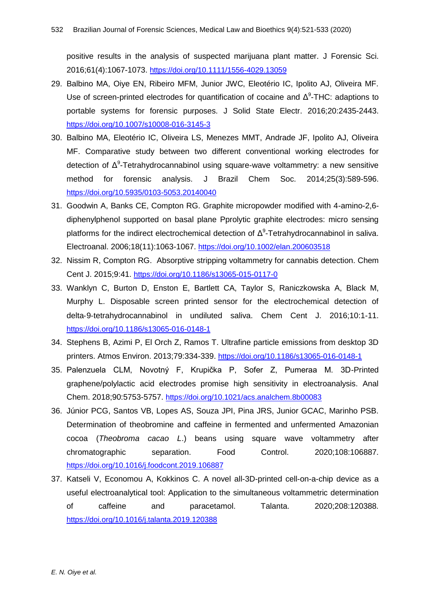positive results in the analysis of suspected marijuana plant matter. J Forensic Sci. 2016;61(4):1067-1073. <https://doi.org/10.1111/1556-4029.13059>

- 29. Balbino MA, Oiye EN, Ribeiro MFM, Junior JWC, Eleotério IC, Ipolito AJ, Oliveira MF. Use of screen-printed electrodes for quantification of cocaine and  $\Delta^9$ -THC: adaptions to portable systems for forensic purposes. J Solid State Electr. 2016;20:2435-2443. <https://doi.org/10.1007/s10008-016-3145-3>
- 30. Balbino MA, Eleotério IC, Oliveira LS, Menezes MMT, Andrade JF, Ipolito AJ, Oliveira MF. Comparative study between two different conventional working electrodes for detection of  $\Delta^9$ -Tetrahydrocannabinol using square-wave voltammetry: a new sensitive method for forensic analysis. J Brazil Chem Soc. 2014;25(3):589-596. <https://doi.org/10.5935/0103-5053.20140040>
- 31. Goodwin A, Banks CE, Compton RG. Graphite micropowder modified with 4-amino-2,6 diphenylphenol supported on basal plane Pprolytic graphite electrodes: micro sensing platforms for the indirect electrochemical detection of  $Δ<sup>9</sup>$ -Tetrahydrocannabinol in saliva. Electroanal. 2006;18(11):1063-1067. <https://doi.org/10.1002/elan.200603518>
- 32. Nissim R, Compton RG. Absorptive stripping voltammetry for cannabis detection. Chem Cent J. 2015;9:41. <https://doi.org/10.1186/s13065-015-0117-0>
- 33. Wanklyn C, Burton D, Enston E, Bartlett CA, Taylor S, Raniczkowska A, Black M, Murphy L. Disposable screen printed sensor for the electrochemical detection of delta‑9‑tetrahydrocannabinol in undiluted saliva. Chem Cent J. 2016;10:1-11. <https://doi.org/10.1186/s13065-016-0148-1>
- 34. Stephens B, Azimi P, El Orch Z, Ramos T. Ultrafine particle emissions from desktop 3D printers. Atmos Environ. 2013;79:334-339. <https://doi.org/10.1186/s13065-016-0148-1>
- 35. Palenzuela CLM, Novotný F, Krupička P, Sofer Z, Pumeraa M. 3D-Printed graphene/polylactic acid electrodes promise high sensitivity in electroanalysis. Anal Chem. 2018;90:5753-5757. <https://doi.org/10.1021/acs.analchem.8b00083>
- 36. Júnior PCG, Santos VB, Lopes AS, Souza JPI, Pina JRS, Junior GCAC, Marinho PSB. Determination of theobromine and caffeine in fermented and unfermented Amazonian cocoa (*Theobroma cacao L*.) beans using square wave voltammetry after chromatographic separation. Food Control. 2020;108:106887. <https://doi.org/10.1016/j.foodcont.2019.106887>
- 37. Katseli V, Economou A, Kokkinos C. A novel all-3D-printed cell-on-a-chip device as a useful electroanalytical tool: Application to the simultaneous voltammetric determination of caffeine and paracetamol. Talanta. 2020;208:120388. <https://doi.org/10.1016/j.talanta.2019.120388>